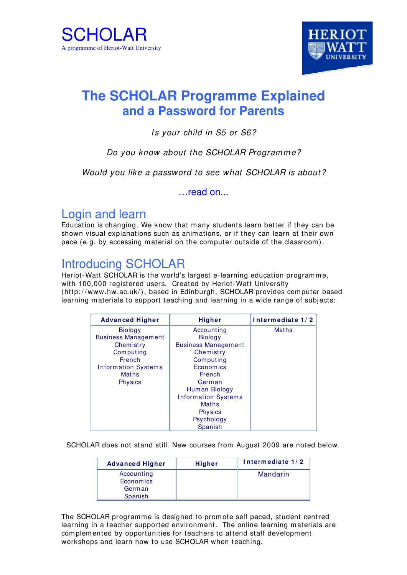



# **The SCHOLAR Programme Explained and a Password for Parents**

#### Is your child in S5 or S6?

#### Do you know about the SCHOLAR Programme?

Would you like a password to see what SCHOLAR is about?

read on...

#### Login and learn

Education is changing. We know that many students learn better if they can be shown visual explanations such as animations, or if they can learn at their own pace (e.g. by accessing material on the com puter outside of the classroom).

## Introducing SCHOLAR

Heriot-Watt SCHOLAR is the world's largest e-learning education programme, with 100,000 registered users. Created by Heriot-Watt University (http://www.hw.ac.uk/), based in Edinburgh, SCHOLAR provides computer based learning m aterials to support teaching and learning in a wide range of subjects:

| <b>Advanced Higher</b>     | <b>Higher</b>              | Intermediate 1/2 |
|----------------------------|----------------------------|------------------|
| <b>Biology</b>             | Accounting                 | <b>Maths</b>     |
| <b>Business Management</b> | <b>Biology</b>             |                  |
| Chemistry                  | <b>Business Management</b> |                  |
| Computing                  | Chemistry                  |                  |
| <b>French</b>              | Computing                  |                  |
| <b>Information Systems</b> | Economics                  |                  |
| <b>Maths</b>               | French                     |                  |
| <b>Physics</b>             | German                     |                  |
|                            | Human Biology              |                  |
|                            | <b>Information Systems</b> |                  |
|                            | <b>Maths</b>               |                  |
|                            | <b>Physics</b>             |                  |
|                            | Psychology                 |                  |
|                            | Spanish                    |                  |

SCHOLAR does not stand still. New courses from August 2009 are noted below.

| <b>Advanced Higher</b> | <b>Higher</b> | Intermediate 1/2 |
|------------------------|---------------|------------------|
| Accounting             |               | Mandarin         |
| Economics              |               |                  |
| German                 |               |                  |
| Spanish                |               |                  |

The SCHOLAR programme is designed to prom ote self paced, student centred learning in a teacher supported environment. The online learning materials are com plem ented by opportunities for teachers to attend staff developm ent workshops and learn how to use SCHOLAR when teaching.